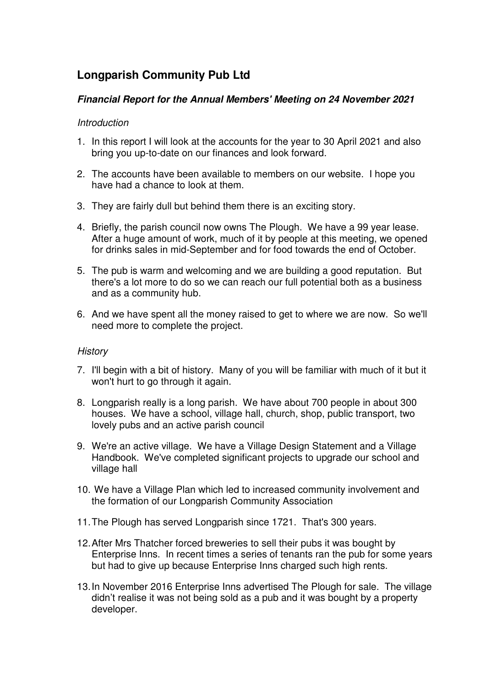# **Longparish Community Pub Ltd**

## **Financial Report for the Annual Members' Meeting on 24 November 2021**

## Introduction

- 1. In this report I will look at the accounts for the year to 30 April 2021 and also bring you up-to-date on our finances and look forward.
- 2. The accounts have been available to members on our website. I hope you have had a chance to look at them.
- 3. They are fairly dull but behind them there is an exciting story.
- 4. Briefly, the parish council now owns The Plough. We have a 99 year lease. After a huge amount of work, much of it by people at this meeting, we opened for drinks sales in mid-September and for food towards the end of October.
- 5. The pub is warm and welcoming and we are building a good reputation. But there's a lot more to do so we can reach our full potential both as a business and as a community hub.
- 6. And we have spent all the money raised to get to where we are now. So we'll need more to complete the project.

## **History**

- 7. I'll begin with a bit of history. Many of you will be familiar with much of it but it won't hurt to go through it again.
- 8. Longparish really is a long parish. We have about 700 people in about 300 houses. We have a school, village hall, church, shop, public transport, two lovely pubs and an active parish council
- 9. We're an active village. We have a Village Design Statement and a Village Handbook. We've completed significant projects to upgrade our school and village hall
- 10. We have a Village Plan which led to increased community involvement and the formation of our Longparish Community Association
- 11. The Plough has served Longparish since 1721. That's 300 years.
- 12. After Mrs Thatcher forced breweries to sell their pubs it was bought by Enterprise Inns. In recent times a series of tenants ran the pub for some years but had to give up because Enterprise Inns charged such high rents.
- 13. In November 2016 Enterprise Inns advertised The Plough for sale. The village didn't realise it was not being sold as a pub and it was bought by a property developer.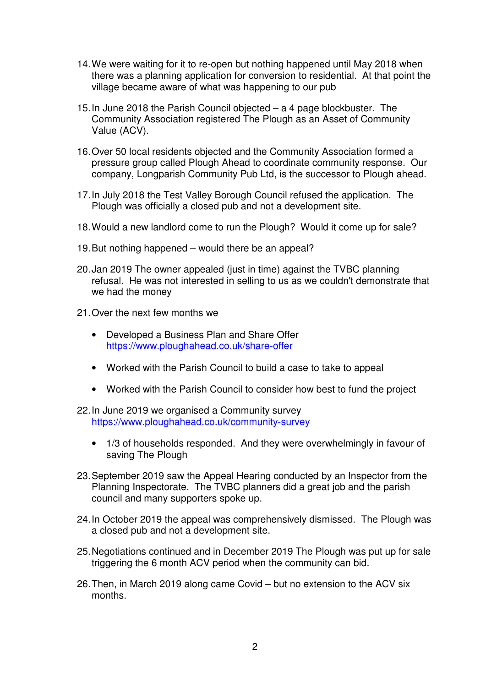- 14. We were waiting for it to re-open but nothing happened until May 2018 when there was a planning application for conversion to residential. At that point the village became aware of what was happening to our pub
- 15. In June 2018 the Parish Council objected a 4 page blockbuster. The Community Association registered The Plough as an Asset of Community Value (ACV).
- 16. Over 50 local residents objected and the Community Association formed a pressure group called Plough Ahead to coordinate community response. Our company, Longparish Community Pub Ltd, is the successor to Plough ahead.
- 17. In July 2018 the Test Valley Borough Council refused the application. The Plough was officially a closed pub and not a development site.
- 18. Would a new landlord come to run the Plough? Would it come up for sale?
- 19. But nothing happened would there be an appeal?
- 20. Jan 2019 The owner appealed (just in time) against the TVBC planning refusal. He was not interested in selling to us as we couldn't demonstrate that we had the money
- 21. Over the next few months we
	- Developed a Business Plan and Share Offer https://www.ploughahead.co.uk/share-offer
	- Worked with the Parish Council to build a case to take to appeal
	- Worked with the Parish Council to consider how best to fund the project
- 22. In June 2019 we organised a Community survey https://www.ploughahead.co.uk/community-survey
	- 1/3 of households responded. And they were overwhelmingly in favour of saving The Plough
- 23. September 2019 saw the Appeal Hearing conducted by an Inspector from the Planning Inspectorate. The TVBC planners did a great job and the parish council and many supporters spoke up.
- 24. In October 2019 the appeal was comprehensively dismissed. The Plough was a closed pub and not a development site.
- 25. Negotiations continued and in December 2019 The Plough was put up for sale triggering the 6 month ACV period when the community can bid.
- 26. Then, in March 2019 along came Covid but no extension to the ACV six months.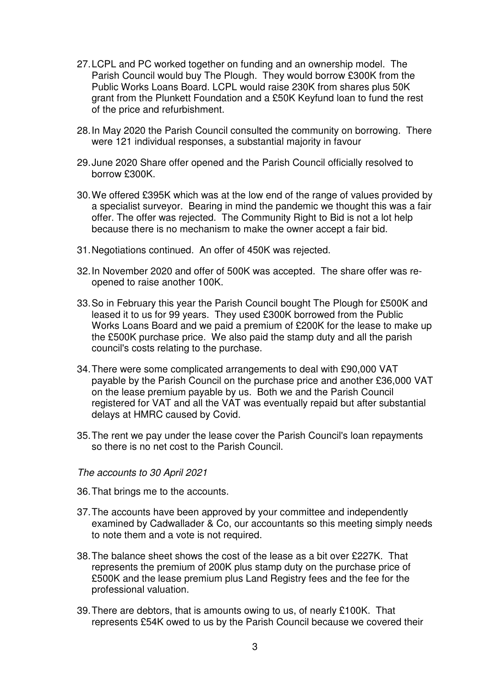- 27. LCPL and PC worked together on funding and an ownership model. The Parish Council would buy The Plough. They would borrow £300K from the Public Works Loans Board. LCPL would raise 230K from shares plus 50K grant from the Plunkett Foundation and a £50K Keyfund loan to fund the rest of the price and refurbishment.
- 28. In May 2020 the Parish Council consulted the community on borrowing. There were 121 individual responses, a substantial majority in favour
- 29. June 2020 Share offer opened and the Parish Council officially resolved to borrow £300K.
- 30. We offered £395K which was at the low end of the range of values provided by a specialist surveyor. Bearing in mind the pandemic we thought this was a fair offer. The offer was rejected. The Community Right to Bid is not a lot help because there is no mechanism to make the owner accept a fair bid.
- 31. Negotiations continued. An offer of 450K was rejected.
- 32. In November 2020 and offer of 500K was accepted. The share offer was reopened to raise another 100K.
- 33. So in February this year the Parish Council bought The Plough for £500K and leased it to us for 99 years. They used £300K borrowed from the Public Works Loans Board and we paid a premium of £200K for the lease to make up the £500K purchase price. We also paid the stamp duty and all the parish council's costs relating to the purchase.
- 34. There were some complicated arrangements to deal with £90,000 VAT payable by the Parish Council on the purchase price and another £36,000 VAT on the lease premium payable by us. Both we and the Parish Council registered for VAT and all the VAT was eventually repaid but after substantial delays at HMRC caused by Covid.
- 35. The rent we pay under the lease cover the Parish Council's loan repayments so there is no net cost to the Parish Council.
- The accounts to 30 April 2021
- 36. That brings me to the accounts.
- 37. The accounts have been approved by your committee and independently examined by Cadwallader & Co, our accountants so this meeting simply needs to note them and a vote is not required.
- 38. The balance sheet shows the cost of the lease as a bit over £227K. That represents the premium of 200K plus stamp duty on the purchase price of £500K and the lease premium plus Land Registry fees and the fee for the professional valuation.
- 39. There are debtors, that is amounts owing to us, of nearly £100K. That represents £54K owed to us by the Parish Council because we covered their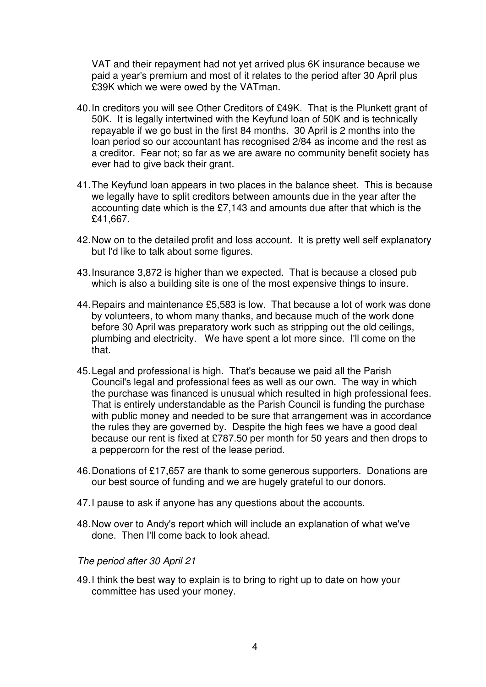VAT and their repayment had not yet arrived plus 6K insurance because we paid a year's premium and most of it relates to the period after 30 April plus £39K which we were owed by the VATman.

- 40. In creditors you will see Other Creditors of £49K. That is the Plunkett grant of 50K. It is legally intertwined with the Keyfund loan of 50K and is technically repayable if we go bust in the first 84 months. 30 April is 2 months into the loan period so our accountant has recognised 2/84 as income and the rest as a creditor. Fear not; so far as we are aware no community benefit society has ever had to give back their grant.
- 41. The Keyfund loan appears in two places in the balance sheet. This is because we legally have to split creditors between amounts due in the year after the accounting date which is the £7,143 and amounts due after that which is the £41,667.
- 42. Now on to the detailed profit and loss account. It is pretty well self explanatory but I'd like to talk about some figures.
- 43. Insurance 3,872 is higher than we expected. That is because a closed pub which is also a building site is one of the most expensive things to insure.
- 44. Repairs and maintenance £5,583 is low. That because a lot of work was done by volunteers, to whom many thanks, and because much of the work done before 30 April was preparatory work such as stripping out the old ceilings, plumbing and electricity. We have spent a lot more since. I'll come on the that.
- 45. Legal and professional is high. That's because we paid all the Parish Council's legal and professional fees as well as our own. The way in which the purchase was financed is unusual which resulted in high professional fees. That is entirely understandable as the Parish Council is funding the purchase with public money and needed to be sure that arrangement was in accordance the rules they are governed by. Despite the high fees we have a good deal because our rent is fixed at £787.50 per month for 50 years and then drops to a peppercorn for the rest of the lease period.
- 46. Donations of £17,657 are thank to some generous supporters. Donations are our best source of funding and we are hugely grateful to our donors.
- 47. I pause to ask if anyone has any questions about the accounts.
- 48. Now over to Andy's report which will include an explanation of what we've done. Then I'll come back to look ahead.

#### The period after 30 April 21

49. I think the best way to explain is to bring to right up to date on how your committee has used your money.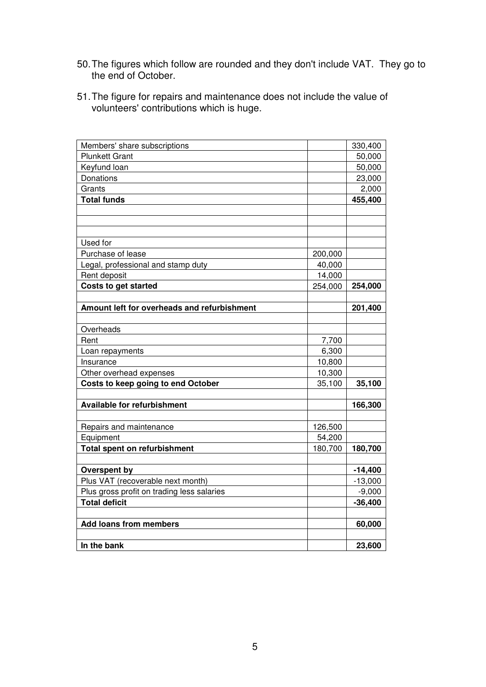- 50. The figures which follow are rounded and they don't include VAT. They go to the end of October.
- 51. The figure for repairs and maintenance does not include the value of volunteers' contributions which is huge.

| Members' share subscriptions                |         | 330,400   |
|---------------------------------------------|---------|-----------|
| <b>Plunkett Grant</b>                       |         | 50,000    |
| Keyfund loan                                |         | 50,000    |
| Donations                                   |         | 23,000    |
| Grants                                      |         | 2,000     |
| <b>Total funds</b>                          |         | 455,400   |
|                                             |         |           |
|                                             |         |           |
|                                             |         |           |
| Used for                                    |         |           |
| Purchase of lease                           | 200,000 |           |
| Legal, professional and stamp duty          | 40,000  |           |
| Rent deposit                                | 14,000  |           |
| <b>Costs to get started</b>                 | 254,000 | 254,000   |
|                                             |         |           |
| Amount left for overheads and refurbishment |         | 201,400   |
|                                             |         |           |
| Overheads                                   |         |           |
| Rent                                        | 7,700   |           |
| Loan repayments                             | 6,300   |           |
| Insurance                                   | 10,800  |           |
| Other overhead expenses                     | 10,300  |           |
| Costs to keep going to end October          | 35,100  | 35,100    |
|                                             |         |           |
| <b>Available for refurbishment</b>          |         | 166,300   |
|                                             |         |           |
| Repairs and maintenance                     | 126,500 |           |
| Equipment                                   | 54,200  |           |
| <b>Total spent on refurbishment</b>         | 180,700 | 180,700   |
|                                             |         |           |
| Overspent by                                |         | $-14,400$ |
| Plus VAT (recoverable next month)           |         | $-13,000$ |
| Plus gross profit on trading less salaries  |         | $-9,000$  |
| <b>Total deficit</b>                        |         | $-36,400$ |
|                                             |         |           |
| <b>Add loans from members</b>               |         | 60,000    |
|                                             |         |           |
| In the bank                                 |         | 23,600    |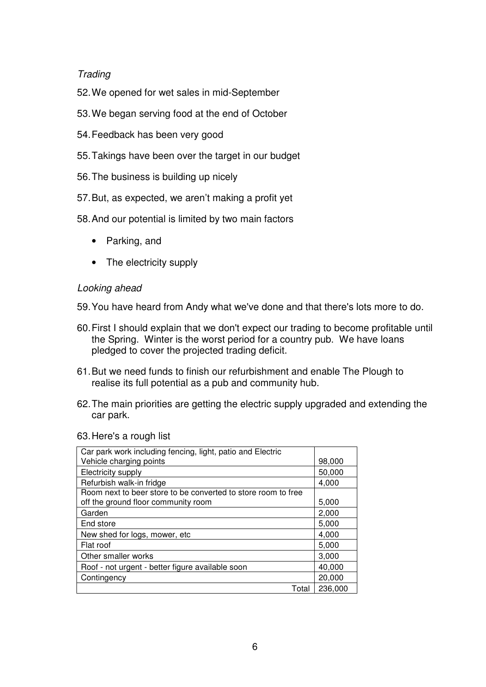# **Trading**

- 52. We opened for wet sales in mid-September
- 53. We began serving food at the end of October
- 54. Feedback has been very good
- 55. Takings have been over the target in our budget
- 56. The business is building up nicely
- 57. But, as expected, we aren't making a profit yet
- 58. And our potential is limited by two main factors
	- Parking, and
	- The electricity supply

## Looking ahead

- 59. You have heard from Andy what we've done and that there's lots more to do.
- 60. First I should explain that we don't expect our trading to become profitable until the Spring. Winter is the worst period for a country pub. We have loans pledged to cover the projected trading deficit.
- 61. But we need funds to finish our refurbishment and enable The Plough to realise its full potential as a pub and community hub.
- 62. The main priorities are getting the electric supply upgraded and extending the car park.

#### 63. Here's a rough list

| Car park work including fencing, light, patio and Electric    |         |
|---------------------------------------------------------------|---------|
| Vehicle charging points                                       | 98,000  |
| Electricity supply                                            | 50,000  |
| Refurbish walk-in fridge                                      | 4.000   |
| Room next to beer store to be converted to store room to free |         |
| off the ground floor community room                           | 5,000   |
| Garden                                                        | 2,000   |
| End store                                                     | 5,000   |
| New shed for logs, mower, etc.                                | 4,000   |
| Flat roof                                                     | 5,000   |
| Other smaller works                                           | 3,000   |
| Roof - not urgent - better figure available soon              | 40,000  |
| Contingency                                                   | 20,000  |
| Total                                                         | 236,000 |